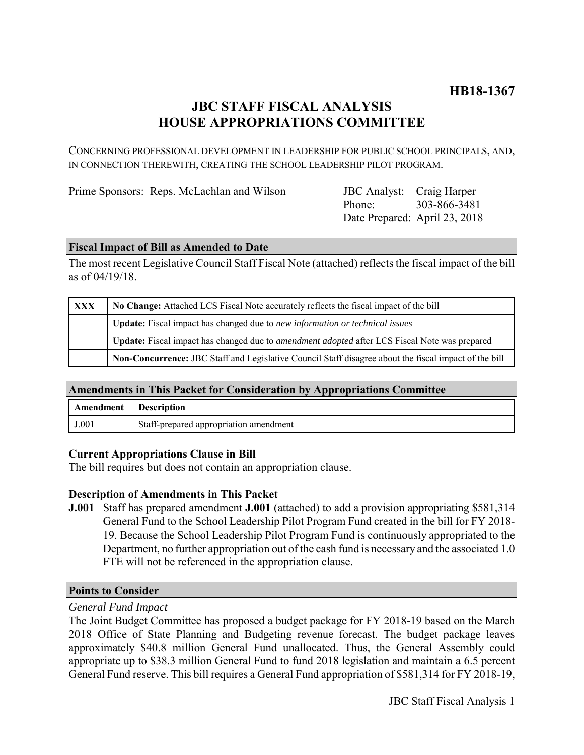# **JBC STAFF FISCAL ANALYSIS HOUSE APPROPRIATIONS COMMITTEE**

CONCERNING PROFESSIONAL DEVELOPMENT IN LEADERSHIP FOR PUBLIC SCHOOL PRINCIPALS, AND, IN CONNECTION THEREWITH, CREATING THE SCHOOL LEADERSHIP PILOT PROGRAM.

Prime Sponsors: Reps. McLachlan and Wilson

Phone: Date Prepared: April 23, 2018 JBC Analyst: Craig Harper 303-866-3481

## **Fiscal Impact of Bill as Amended to Date**

The most recent Legislative Council Staff Fiscal Note (attached) reflects the fiscal impact of the bill as of 04/19/18.

| XXX | No Change: Attached LCS Fiscal Note accurately reflects the fiscal impact of the bill                        |
|-----|--------------------------------------------------------------------------------------------------------------|
|     | <b>Update:</b> Fiscal impact has changed due to new information or technical issues                          |
|     | <b>Update:</b> Fiscal impact has changed due to <i>amendment adopted</i> after LCS Fiscal Note was prepared  |
|     | <b>Non-Concurrence:</b> JBC Staff and Legislative Council Staff disagree about the fiscal impact of the bill |

## **Amendments in This Packet for Consideration by Appropriations Committee**

| Amendment | <b>Description</b>                     |
|-----------|----------------------------------------|
| J.001     | Staff-prepared appropriation amendment |

## **Current Appropriations Clause in Bill**

The bill requires but does not contain an appropriation clause.

## **Description of Amendments in This Packet**

**J.001** Staff has prepared amendment **J.001** (attached) to add a provision appropriating \$581,314 General Fund to the School Leadership Pilot Program Fund created in the bill for FY 2018- 19. Because the School Leadership Pilot Program Fund is continuously appropriated to the Department, no further appropriation out of the cash fund is necessary and the associated 1.0 FTE will not be referenced in the appropriation clause.

#### **Points to Consider**

#### *General Fund Impact*

The Joint Budget Committee has proposed a budget package for FY 2018-19 based on the March 2018 Office of State Planning and Budgeting revenue forecast. The budget package leaves approximately \$40.8 million General Fund unallocated. Thus, the General Assembly could appropriate up to \$38.3 million General Fund to fund 2018 legislation and maintain a 6.5 percent General Fund reserve. This bill requires a General Fund appropriation of \$581,314 for FY 2018-19,